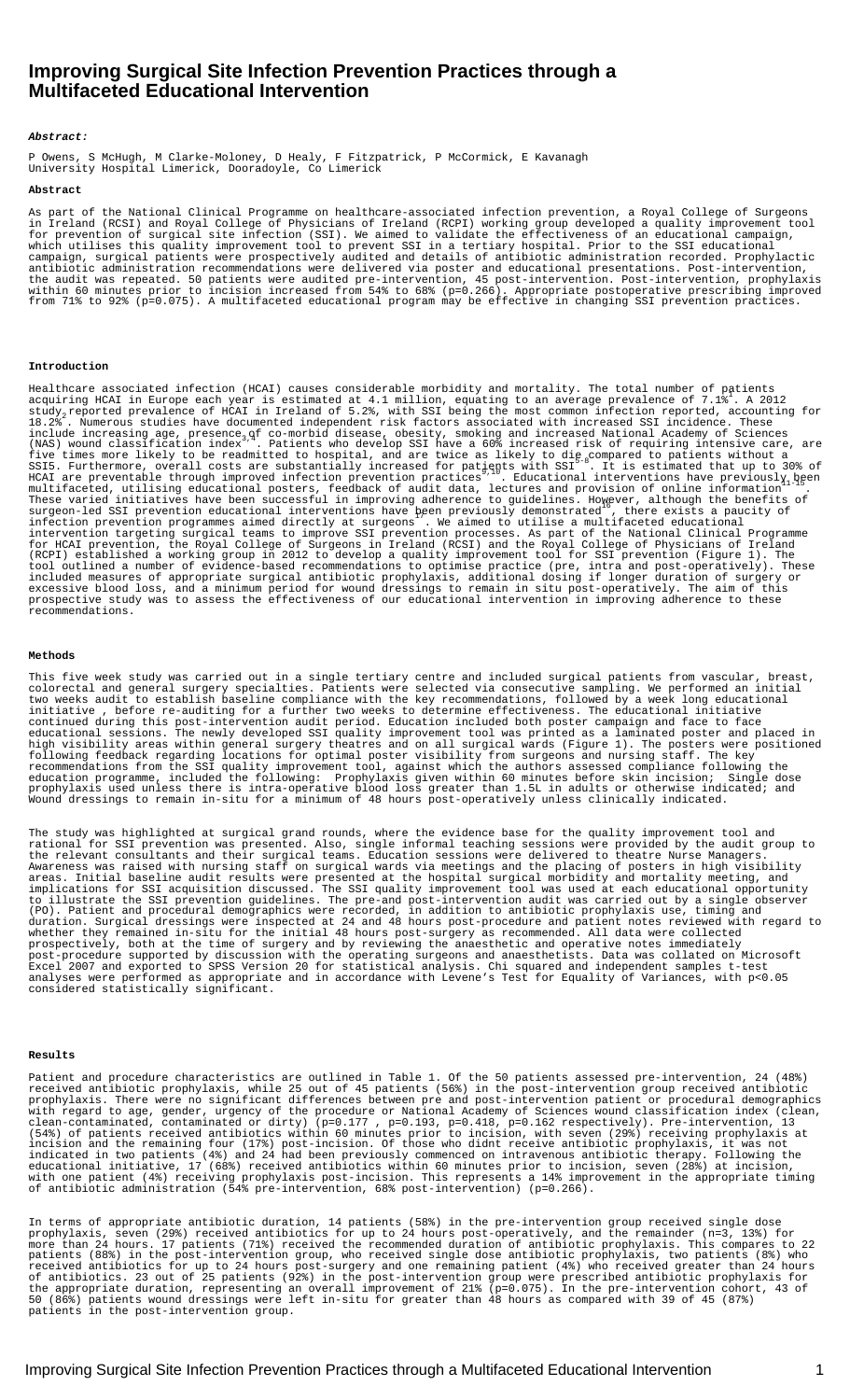# **Improving Surgical Site Infection Prevention Practices through a Multifaceted Educational Intervention**

### **Abstract:**

P Owens, S McHugh, M Clarke-Moloney, D Healy, F Fitzpatrick, P McCormick, E Kavanagh University Hospital Limerick, Dooradoyle, Co Limerick

#### **Abstract**

As part of the National Clinical Programme on healthcare-associated infection prevention, a Royal College of Surgeons in Ireland (RCSI) and Royal College of Physicians of Ireland (RCPI) working group developed a quality improvement tool for prevention of surgical site infection (SSI). We aimed to validate the effectiveness of an educational campaign, which utilises this quality improvement tool to prevent SSI in a tertiary hospital. Prior to the SSI educational campaign, surgical patients were prospectively audited and details of antibiotic administration recorded. Prophylactic antibiotic administration recommendations were delivered via poster and educational presentations. Post-intervention, the audit was repeated. 50 patients were audited pre-intervention, 45 post-intervention. Post-intervention, prophylaxis within 60 minutes prior to incision increased from 54% to 68% (p=0.266). Appropriate postoperative prescribing improved from 71% to 92% (p=0.075). A multifaceted educational program may be effective in changing SSI prevention practices.

#### **Introduction**

Healthcare associated infection (HCAI) causes considerable morbidity and mortality. The total number of patients<br>acquiring HCAI in Europe each year is estimated at 4.1 million, equating to an average prevalence of 7.1% . A study<sub>2</sub>reported prevalence of HCAI in Ireland of 5.2%, with SSI being the most common infection reported, accounting for<br>18.2% . Numerous studies have documented independent risk factors associated with increased SSI inci include increasing age, presence<sub>;</sub> qf co-morbid disease, obesity, smoking and increased National Academy of Sciences<br>(NAS) wound classification index<sup>"</sup>. Patients who develop SSI have a 60% increased risk of requiring int five times more likely to be readmitted to hospital, and are twice as likely to die compared to patients without a<br>SSI5. Furthermore, overall costs are substantially increased for patjents with SSI<sup>5-</sup>. It is estimated tha HCAI are preventable through improved infection prevention practices . Educational interventions have previously been<br>HCAI are preventable through improved infection prevention practices . Educational interventions have pr multifaceted, utilising educational posters, feedback of audit data, lectures and provision of online information."<br>Multifaceted, utilising educational posters, feedback of audit data, lectures and provision of online info These varied initiatives have been successful in improving adherence to guidelines. However, although the benefits of<br>surgeon-led SSI prevention educational interventions have been previously demonstrated  $\degree$ , there exist infection prevention programmes aimed directly at surgeons<sup>1</sup>. We aimed to utilise a multifaceted educational<br>infection prevention programmes aimed directly at surgeons<sup>1</sup>. We aimed to utilise a multifaceted educational intervention targeting surgical teams to improve SSI prevention processes. As part of the National Clinical Programme for HCAI prevention, the Royal College of Surgeons in Ireland (RCSI) and the Royal College of Physicians of Ireland (RCPI) established a working group in 2012 to develop a quality improvement tool for SSI prevention (Figure 1). The tool outlined a number of evidence-based recommendations to optimise practice (pre, intra and post-operatively). These included measures of appropriate surgical antibiotic prophylaxis, additional dosing if longer duration of surgery or excessive blood loss, and a minimum period for wound dressings to remain in situ post-operatively. The aim of this prospective study was to assess the effectiveness of our educational intervention in improving adherence to these recommendations.

## **Methods**

This five week study was carried out in a single tertiary centre and included surgical patients from vascular, breast,<br>colorectal and general surgery specialties. Patients were selected via consecutive sampling. We perform initiative , before re-auditing for a further two weeks to determine effectiveness. The educational initiative continued during this post-intervention audit period. Education included both poster campaign and face to face educational sessions. The newly developed SSI quality improvement tool was printed as a laminated poster and placed in high visibility areas within general surgery theatres and on all surgical wards (Figure 1). The posters were positioned following feedback regarding locations for optimal poster visibility from surgeons and nursing staff. The key recommendations from the SSI quality improvement tool, against which the authors assessed compliance following the education programme, included the following: ¾ Prophylaxis given within 60 minutes before skin incision; ¾ Single dose prophylaxis used unless there is intra-operative blood loss greater than 1.5L in adults or otherwise indicated; and ¾ Wound dressings to remain in-situ for a minimum of 48 hours post-operatively unless clinically indicated.

The study was highlighted at surgical grand rounds, where the evidence base for the quality improvement tool and rational for SSI prevention was presented. Also, single informal teaching sessions were provided by the audit group to the relevant consultants and their surgical teams. Education sessions were delivered to theatre Nurse Managers. Awareness was raised with nursing staff on surgical wards via meetings and the placing of posters in high visibility areas. Initial baseline audit results were presented at the hospital surgical morbidity and mortality meeting, and implications for SSI acquisition discussed. The SSI quality improvement tool was used at each educational opportunity to illustrate the SSI prevention guidelines. The pre-and post-intervention audit was carried out by a single observer (PO). Patient and procedural demographics were recorded, in addition to antibiotic prophylaxis use, timing and duration. Surgical dressings were inspected at 24 and 48 hours post-procedure and patient notes reviewed with regard to whether they remained in-situ for the initial 48 hours post-surgery as recommended. All data were collected prospectively, both at the time of surgery and by reviewing the anaesthetic and operative notes immediately post-procedure supported by discussion with the operating surgeons and anaesthetists. Data was collated on Microsoft Excel 2007 and exported to SPSS Version 20 for statistical analysis. Chi squared and independent samples t-test analyses were performed as appropriate and in accordance with Levene's Test for Equality of Variances, with p<0.05 considered statistically significant.

#### **Results**

Patient and procedure characteristics are outlined in Table 1. Of the 50 patients assessed pre-intervention, 24 (48%) received antibiotic prophylaxis, while 25 out of 45 patients (56%) in the post-intervention group received antibiotic prophylaxis. There were no significant differences between pre and post-intervention patient or procedural demographics with regard to age, gender, urgency of the procedure or National Academy of Sciences wound classification index (clean, clean-contaminated, contaminated or dirty) (p=0.177 , p=0.193, p=0.418, p=0.162 respectively). Pre-intervention, 13 (54%) of patients received antibiotics within 60 minutes prior to incision, with seven (29%) receiving prophylaxis at incision and the remaining four (17%) post-incision. Of those who didnât receive antibiotic prophylaxis, it was not indicated in two patients (4%) and 24 had been previously commenced on intravenous antibiotic therapy. Following the educational initiative, 17 (68%) received antibiotics within 60 minutes prior to incision, seven (28%) at incision, with one patient (4%) receiving prophylaxis post-incision. This represents a 14% improvement in the appropriate timing of antibiotic administration (54% pre-intervention, 68% post-intervention) (p=0.266).

In terms of appropriate antibiotic duration, 14 patients (58%) in the pre-intervention group received single dose prophylaxis, seven (29%) received antibiotics for up to 24 hours post-operatively, and the remainder (n=3, 13%) for more than 24 hours. 17 patients (71%) received the recommended duration of antibiotic prophylaxis. This compares to 22 patients (88%) in the post-intervention group, who received single dose antibiotic prophylaxis, two patients (8%) who received antibiotics for up to 24 hours post-surgery and one remaining patient (4%) who received greater than 24 hours of antibiotics. 23 out of 25 patients (92%) in the post-intervention group were prescribed antibiotic prophylaxis for the appropriate duration, representing an overall improvement of 21% (p=0.075). In the pre-intervention cohort, 43 of 50 (86%) patientâ s wound dressings were left in-situ for greater than 48 hours as compared with 39 of 45 (87%) patients in the post-intervention group.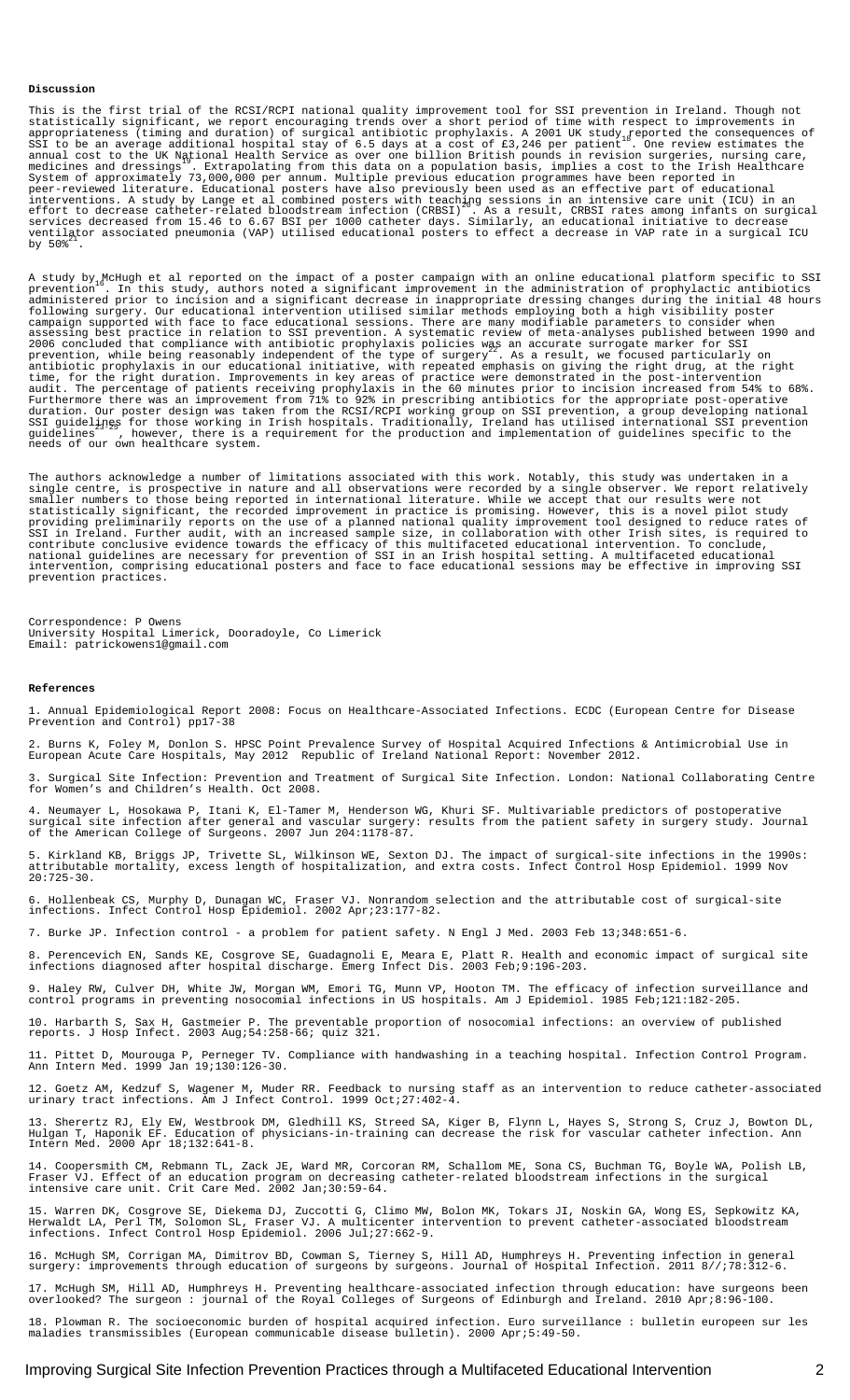# **Discussion**

This is the first trial of the RCSI/RCPI national quality improvement tool for SSI prevention in Ireland. Though not statistically significant, we report encouraging trends over a short period of time with respect to improvements in appropriateness (timing and duration) of surgical antibiotic prophylaxis. A 2001 UK study<sub>i</sub>reported the consequences of<br>SSI to be an average additional hospital stay of 6.5 days at a cost of £3,246 per patient . One revie annual cost to the UK National Health Service as over one billion British pounds in revision surgeries, nursing care,<br>medicines and dressings , Extrapolating from this data on a population basis, implies a cost to the Iris System of approximately 73,000,000 per annum. Multiple previous education programmes have been reported in peer-reviewed literature. Educational posters have also previously been used as an effective part of educational interventions. A study by Lange et al combined posters with teaching sessions in an intensive care unit (ICU) in an<br>effort to decrease catheter-related bloodstream infection (CRBSI) . As a result, CRBSI rates among infants services decreased from 15.46 to 6.67 BSI per 1000 catheter days. Similarly, an educational initiative to decrease ventilator associated pneumonia (VAP) utilised educational posters to effect a decrease in VAP rate in a surgical ICU<br>by 50%

A study by<sub>ı</sub>McHugh et al reported on the impact of a poster campaign with an online educational platform specific to SSI<br>prevention  $\degree$ . In this study, authors noted a significant improvement in the administration of pro administered prior to incision and a significant decrease in inappropriate dressing changes during the initial 48 hours following surgery. Our educational intervention utilised similar methods employing both a high visibility poster campaign supported with face to face educational sessions. There are many modifiable parameters to consider when assessing best practice in relation to SSI prevention. A systematic review of meta-analyses published between 1990 and 2006 concluded that compliance with antibiotic prophylaxis policies was an accurate surrogate marker for SSI<br>prevention, while being reasonably independent of the type of surgery . As a result, we focused particularly on antibiotic prophylaxis in our educational initiative, with repeated emphasis on giving the  $\hat{a}$  right drug, at the right time, for the right durationâ. Improvements in key areas of practice were demonstrated in the post-intervention audit. The percentage of patients receiving prophylaxis in the 60 minutes prior to incision increased from 54% to 68%. Furthermore there was an improvement from 71% to 92% in prescribing antibiotics for the appropriate post-operative duration. Our poster design was taken from the RCSI/RCPI working group on SSI prevention, a group developing national SSI guidelines for those working in Irish hospitals. Traditionally, Ireland has utilised international SSI prevention<br>guidelines 3223, however, there is a requirement for the production and implementation of guidelines spe needs of our own healthcare system.

The authors acknowledge a number of limitations associated with this work. Notably, this study was undertaken in a single centre, is prospective in nature and all observations were recorded by a single observer. We report relatively smaller numbers to those being reported in international literature. While we accept that our results were not statistically significant, the recorded improvement in practice is promising. However, this is a novel pilot study providing preliminarily reports on the use of a planned national quality improvement tool designed to reduce rates of SSI in Ireland. Further audit, with an increased sample size, in collaboration with other Irish sites, is required to contribute conclusive evidence towards the efficacy of this multifaceted educational intervention. To conclude, national guidelines are necessary for prevention of SSI in an Irish hospital setting. A multifaceted educational intervention, comprising educational posters and face to face educational sessions may be effective in improving SSI prevention practices.

Correspondence: P Owens University Hospital Limerick, Dooradoyle, Co Limerick Email: patrickowens1@gmail.com

### **References**

1. Annual Epidemiological Report 2008: Focus on Healthcare-Associated Infections. ECDC (European Centre for Disease Prevention and Control) pp17-38

2. Burns K, Foley M, Donlon S. HPSC Point Prevalence Survey of Hospital Acquired Infections & Antimicrobial Use in European Acute Care Hospitals, May 2012 â Republic of Ireland National Report: November 2012.

3. Surgical Site Infection: Prevention and Treatment of Surgical Site Infection. London: National Collaborating Centre for Women's and Children's Health. Oct 2008.

4. Neumayer L, Hosokawa P, Itani K, El-Tamer M, Henderson WG, Khuri SF. Multivariable predictors of postoperative surgical site infection after general and vascular surgery: results from the patient safety in surgery study. Journal of the American College of Surgeons. 2007 Jun 204:1178-87.

5. Kirkland KB, Briggs JP, Trivette SL, Wilkinson WE, Sexton DJ. The impact of surgical-site infections in the 1990s: attributable mortality, excess length of hospitalization, and extra costs. Infect Control Hosp Epidemiol. 1999 Nov 20:725-30.

6. Hollenbeak CS, Murphy D, Dunagan WC, Fraser VJ. Nonrandom selection and the attributable cost of surgical-site infections. Infect Control Hosp Epidemiol. 2002 Apr;23:177-82.

7. Burke JP. Infection control - a problem for patient safety. N Engl J Med. 2003 Feb 13;348:651-6.

8. Perencevich EN, Sands KE, Cosgrove SE, Guadagnoli E, Meara E, Platt R. Health and economic impact of surgical site infections diagnosed after hospital discharge. Emerg Infect Dis. 2003 Feb;9:196-203.

9. Haley RW, Culver DH, White JW, Morgan WM, Emori TG, Munn VP, Hooton TM. The efficacy of infection surveillance and control programs in preventing nosocomial infections in US hospitals. Am J Epidemiol. 1985 Feb;121:182-205.

10. Harbarth S, Sax H, Gastmeier P. The preventable proportion of nosocomial infections: an overview of published reports. J Hosp Infect. 2003 Aug;54:258-66; quiz 321.

11. Pittet D, Mourouga P, Perneger TV. Compliance with handwashing in a teaching hospital. Infection Control Program. Ann Intern Med. 1999 Jan 19;130:126-30.

12. Goetz AM, Kedzuf S, Wagener M, Muder RR. Feedback to nursing staff as an intervention to reduce catheter-associated urinary tract infections. Am J Infect Control. 1999 Oct;27:402-4.

13. Sherertz RJ, Ely EW, Westbrook DM, Gledhill KS, Streed SA, Kiger B, Flynn L, Hayes S, Strong S, Cruz J, Bowton DL, Hulgan T, Haponik EF. Education of physicians-in-training can decrease the risk for vascular catheter infection. Ann Intern Med. 2000 Apr 18;132:641-8.

14. Coopersmith CM, Rebmann TL, Zack JE, Ward MR, Corcoran RM, Schallom ME, Sona CS, Buchman TG, Boyle WA, Polish LB, Fraser VJ. Effect of an education program on decreasing catheter-related bloodstream infections in the surgical intensive care unit. Crit Care Med. 2002 Jan;30:59-64.

15. Warren DK, Cosgrove SE, Diekema DJ, Zuccotti G, Climo MW, Bolon MK, Tokars JI, Noskin GA, Wong ES, Sepkowitz KA, Herwaldt LA, Perl TM, Solomon SL, Fraser VJ. A multicenter intervention to prevent catheter-associated bloodstream infections. Infect Control Hosp Epidemiol. 2006 Jul;27:662-9.

16. McHugh SM, Corrigan MA, Dimitrov BD, Cowman S, Tierney S, Hill AD, Humphreys H. Preventing infection in general surgery: improvements through education of surgeons by surgeons. Journal of Hospital Infection. 2011 8//;78:312-6.

17. McHugh SM, Hill AD, Humphreys H. Preventing healthcare-associated infection through education: have surgeons been overlooked? The surgeon : journal of the Royal Colleges of Surgeons of Edinburgh and Ireland. 2010 Apr;8:96-100.

18. Plowman R. The socioeconomic burden of hospital acquired infection. Euro surveillance : bulletin europeen sur les maladies transmissibles (European communicable disease bulletin). 2000 Apr;5:49-50.

# Improving Surgical Site Infection Prevention Practices through a Multifaceted Educational Intervention 2